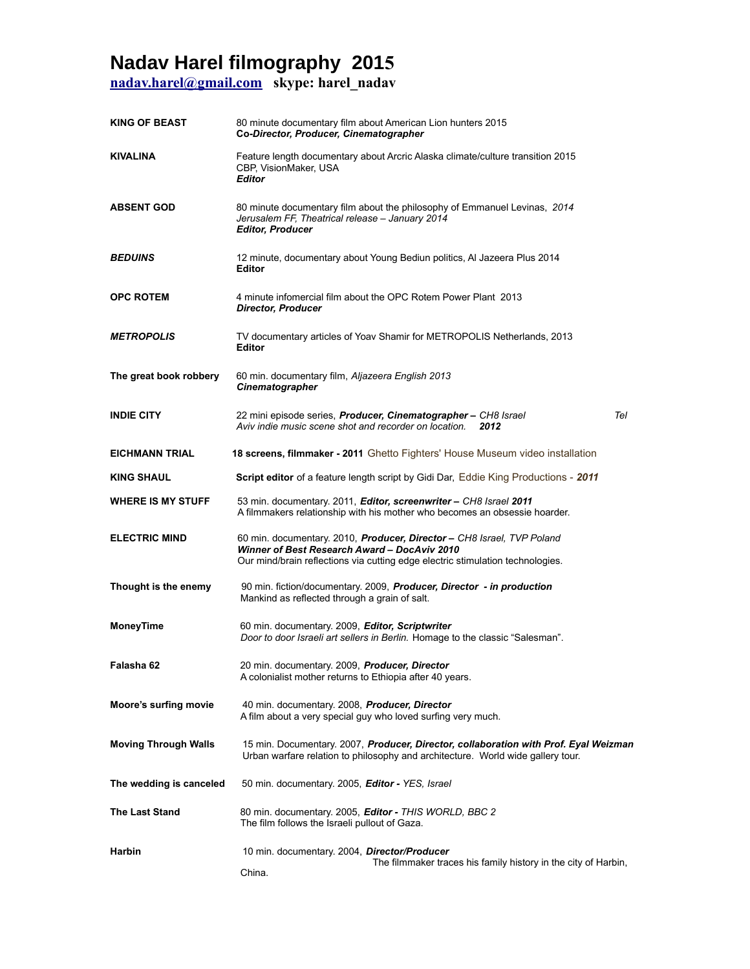## **Nadav Harel filmography 2015**

**[nadav.harel@gmail.com](mailto:nadav.harel@gmail.com) skype: harel\_nadav**

| <b>KING OF BEAST</b>        | 80 minute documentary film about American Lion hunters 2015<br>Co-Director, Producer, Cinematographer                                                                                                    |
|-----------------------------|----------------------------------------------------------------------------------------------------------------------------------------------------------------------------------------------------------|
| <b>KIVALINA</b>             | Feature length documentary about Arcric Alaska climate/culture transition 2015<br>CBP, VisionMaker, USA<br><b>Editor</b>                                                                                 |
| <b>ABSENT GOD</b>           | 80 minute documentary film about the philosophy of Emmanuel Levinas, 2014<br>Jerusalem FF, Theatrical release - January 2014<br><b>Editor, Producer</b>                                                  |
| <b>BEDUINS</b>              | 12 minute, documentary about Young Bediun politics, AI Jazeera Plus 2014<br><b>Editor</b>                                                                                                                |
| <b>OPC ROTEM</b>            | 4 minute infomercial film about the OPC Rotem Power Plant 2013<br><b>Director, Producer</b>                                                                                                              |
| <b>METROPOLIS</b>           | TV documentary articles of Yoav Shamir for METROPOLIS Netherlands, 2013<br><b>Editor</b>                                                                                                                 |
| The great book robbery      | 60 min. documentary film, Aljazeera English 2013<br>Cinematographer                                                                                                                                      |
| <b>INDIE CITY</b>           | Tel<br>22 mini episode series, <b>Producer, Cinematographer</b> – CH8 Israel<br>Aviv indie music scene shot and recorder on location.<br>2012                                                            |
| <b>EICHMANN TRIAL</b>       | 18 screens, filmmaker - 2011 Ghetto Fighters' House Museum video installation                                                                                                                            |
| <b>KING SHAUL</b>           | <b>Script editor</b> of a feature length script by Gidi Dar, Eddie King Productions - 2011                                                                                                               |
| <b>WHERE IS MY STUFF</b>    | 53 min. documentary. 2011, Editor, screenwriter – CH8 Israel 2011<br>A filmmakers relationship with his mother who becomes an obsessie hoarder.                                                          |
| <b>ELECTRIC MIND</b>        | 60 min. documentary. 2010, Producer, Director - CH8 Israel, TVP Poland<br>Winner of Best Research Award - DocAviv 2010<br>Our mind/brain reflections via cutting edge electric stimulation technologies. |
| Thought is the enemy        | 90 min. fiction/documentary. 2009, Producer, Director - in production<br>Mankind as reflected through a grain of salt.                                                                                   |
| <b>MoneyTime</b>            | 60 min. documentary. 2009, Editor, Scriptwriter<br>Door to door Israeli art sellers in Berlin. Homage to the classic "Salesman".                                                                         |
| Falasha 62                  | 20 min. documentary. 2009, Producer, Director<br>A colonialist mother returns to Ethiopia after 40 years.                                                                                                |
| Moore's surfing movie       | 40 min. documentary. 2008, Producer, Director<br>A film about a very special guy who loved surfing very much.                                                                                            |
| <b>Moving Through Walls</b> | 15 min. Documentary. 2007, Producer, Director, collaboration with Prof. Eyal Weizman<br>Urban warfare relation to philosophy and architecture. World wide gallery tour.                                  |
| The wedding is canceled     | 50 min. documentary. 2005, Editor - YES, Israel                                                                                                                                                          |
| <b>The Last Stand</b>       | 80 min. documentary. 2005, Editor - THIS WORLD, BBC 2<br>The film follows the Israeli pullout of Gaza.                                                                                                   |
| Harbin                      | 10 min. documentary. 2004, Director/Producer                                                                                                                                                             |
|                             | The filmmaker traces his family history in the city of Harbin,<br>China.                                                                                                                                 |